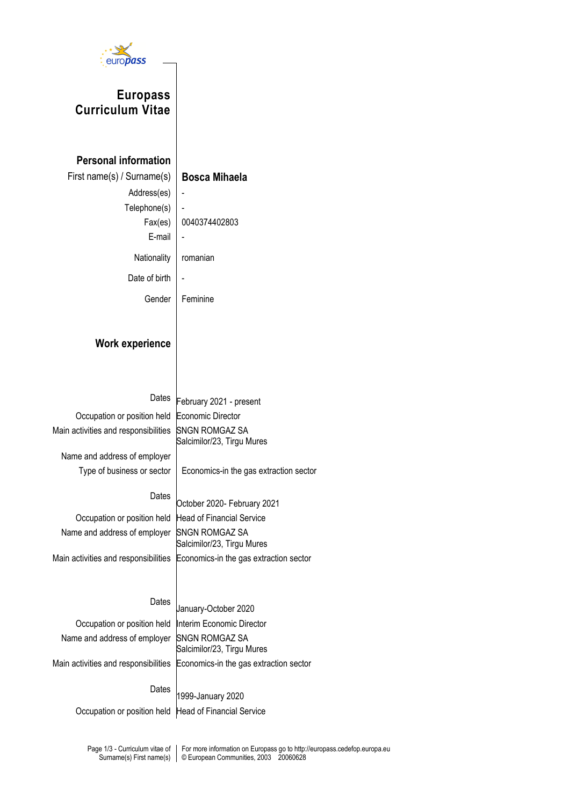

# **Europass Curriculum Vitae**

## **Personal information**

| First name(s) / Surname(s) | <b>Bosca Mihaela</b> |
|----------------------------|----------------------|
| Address(es)                |                      |
| Telephone(s)               |                      |
| Fax(es)                    | 0040374402803        |
| E-mail                     |                      |
| Nationality                | romanian             |
| Date of birth              |                      |
| Gender                     | Feminine             |

### **Work experience**

Dates **February 2021** - present Occupation or position held Economic Director Salcimilor/23, Tirgu Mures

Main activities and responsibilities SNGN ROMGAZ SA

Name and address of employer Type of business or sector  $\vert$  Economics-in the gas extraction sector

### Dates

October 2020- February 2021 Occupation or position held Head of Financial Service Name and address of employer SNGN ROMGAZ SA Salcimilor/23, Tirgu Mures

Main activities and responsibilities Economics-in the gas extraction sector

### Dates January-October 2020

| Occupation or position held  Interim Economic Director |                                                                             |
|--------------------------------------------------------|-----------------------------------------------------------------------------|
| Name and address of employer SNGN ROMGAZ SA            | Salcimilor/23, Tirgu Mures                                                  |
|                                                        | Main activities and responsibilities Economics-in the gas extraction sector |
|                                                        | Dates $ $ 1999-January 2020                                                 |

Occupation or position held Head of Financial Service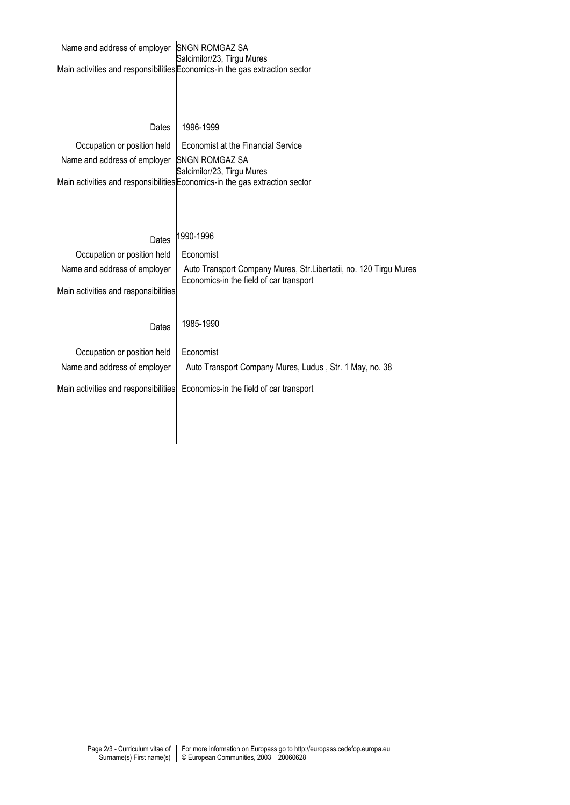| Name and address of employer SNGN ROMGAZ SA | Salcimilor/23, Tirgu Mures<br>Main activities and responsibilities Economics-in the gas extraction sector |
|---------------------------------------------|-----------------------------------------------------------------------------------------------------------|
| Dates                                       | 1996-1999                                                                                                 |
| Occupation or position held                 | Economist at the Financial Service                                                                        |
| Name and address of employer                | <b>SNGN ROMGAZ SA</b>                                                                                     |
|                                             | Salcimilor/23, Tirgu Mures<br>Main activities and responsibilities Economics-in the gas extraction sector |
| Dates<br>Occupation or position held        | 1990-1996<br>Economist                                                                                    |
| Name and address of employer                | Auto Transport Company Mures, Str. Libertatii, no. 120 Tirgu Mures                                        |
| Main activities and responsibilities        | Economics-in the field of car transport                                                                   |
| Dates                                       | 1985-1990                                                                                                 |
| Occupation or position held                 | Economist                                                                                                 |
| Name and address of employer                | Auto Transport Company Mures, Ludus, Str. 1 May, no. 38                                                   |
| Main activities and responsibilities        | Economics-in the field of car transport                                                                   |